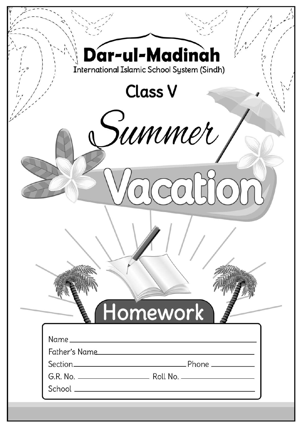| Dar-ul-Madinah<br><b>International Islamic School System (Sindh)</b> |  |
|----------------------------------------------------------------------|--|
| <b>Class V</b>                                                       |  |
| summer                                                               |  |
|                                                                      |  |
|                                                                      |  |
|                                                                      |  |
| Homework                                                             |  |
| Father's Name                                                        |  |
|                                                                      |  |
|                                                                      |  |
|                                                                      |  |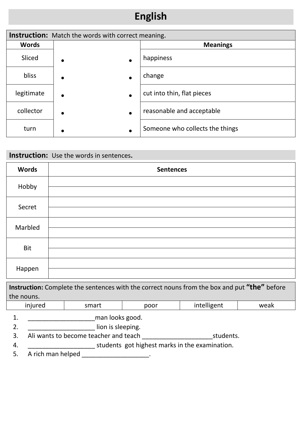# **English**

| <b>Instruction:</b> Match the words with correct meaning. |                        |                                 |  |  |  |  |  |
|-----------------------------------------------------------|------------------------|---------------------------------|--|--|--|--|--|
| <b>Words</b>                                              |                        | <b>Meanings</b>                 |  |  |  |  |  |
| Sliced                                                    | $\bullet$              | happiness                       |  |  |  |  |  |
| bliss                                                     | $\bullet$              | change                          |  |  |  |  |  |
| legitimate                                                | $\bullet$<br>$\bullet$ | cut into thin, flat pieces      |  |  |  |  |  |
| collector                                                 | $\bullet$<br>$\bullet$ | reasonable and acceptable       |  |  |  |  |  |
| turn                                                      | $\bullet$              | Someone who collects the things |  |  |  |  |  |

### **Instruction:** Use the words in sentences**.**

| <b>Words</b> | <b>Sentences</b> |
|--------------|------------------|
| Hobby        |                  |
| Secret       |                  |
| Marbled      |                  |
| <b>Bit</b>   |                  |
| Happen       |                  |

| <b>Instruction:</b> Complete the sentences with the correct nouns from the box and put "the" before |       |      |             |        |  |  |  |  |
|-----------------------------------------------------------------------------------------------------|-------|------|-------------|--------|--|--|--|--|
| the nouns.                                                                                          |       |      |             |        |  |  |  |  |
| hannini                                                                                             | cmart | nnnr | intelligent | الحصير |  |  |  |  |

| injured           | smart                                 | poor                                           | intelligent | weak |  |  |  |  |
|-------------------|---------------------------------------|------------------------------------------------|-------------|------|--|--|--|--|
| man looks good.   |                                       |                                                |             |      |  |  |  |  |
|                   | lion is sleeping.                     |                                                |             |      |  |  |  |  |
|                   | Ali wants to become teacher and teach |                                                | students.   |      |  |  |  |  |
|                   |                                       | students got highest marks in the examination. |             |      |  |  |  |  |
| A rich man helped |                                       |                                                |             |      |  |  |  |  |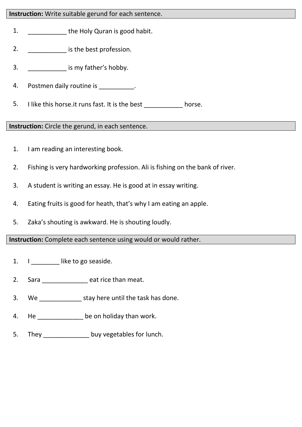#### **Instruction:** Write suitable gerund for each sentence.

- 1. **the Holy Quran is good habit.**
- 2. **\_\_\_\_\_\_\_\_\_\_\_\_\_\_\_\_\_ is the best profession.**
- 3. **a** is my father's hobby.
- 4. Postmen daily routine is \_\_\_\_\_\_\_\_\_\_.
- 5. I like this horse.it runs fast. It is the best horse.

#### **Instruction:** Circle the gerund, in each sentence.

- 1. I am reading an interesting book.
- 2. Fishing is very hardworking profession. Ali is fishing on the bank of river.
- 3. A student is writing an essay. He is good at in essay writing.
- 4. Eating fruits is good for heath, that's why I am eating an apple.
- 5. Zaka's shouting is awkward. He is shouting loudly.

**Instruction:** Complete each sentence using would or would rather.

- 1. I like to go seaside.
- 2. Sara eat rice than meat.
- 3. We \_\_\_\_\_\_\_\_\_\_\_\_ stay here until the task has done.
- 4. He be on holiday than work.
- 5. They buy vegetables for lunch.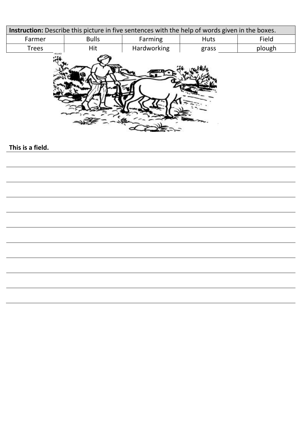| <b>Instruction:</b> Describe this picture in five sentences with the help of words given in the boxes. |              |                |       |        |  |  |  |  |
|--------------------------------------------------------------------------------------------------------|--------------|----------------|-------|--------|--|--|--|--|
| Farmer                                                                                                 | <b>Bulls</b> | <b>Farming</b> | Huts  | Field  |  |  |  |  |
| <b>Trees</b>                                                                                           | Hit          |                | grass | plough |  |  |  |  |
| 40.040                                                                                                 |              |                |       |        |  |  |  |  |

#### **This is a field.**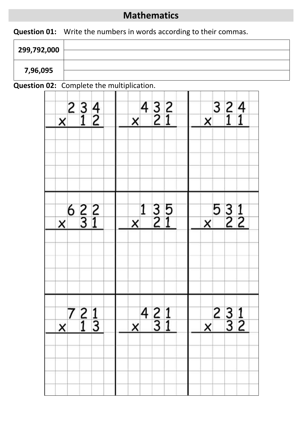### **Mathematics**

**Question 01:** Write the numbers in words according to their commas.

| 299,792,000 |  |
|-------------|--|
|             |  |
| 7,96,095    |  |

### **Question 02:** Complete the multiplication.

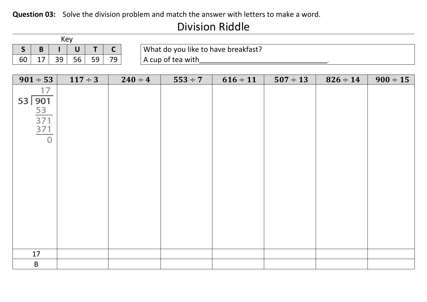#### **Question 03:** Solve the division problem and match the answer with letters to make a word.

## Division Riddle

|              |                                   | Key |              |    |              |              |                                     |              |               |               |               |               |  |  |
|--------------|-----------------------------------|-----|--------------|----|--------------|--------------|-------------------------------------|--------------|---------------|---------------|---------------|---------------|--|--|
| $\mathsf{S}$ | B                                 |     | $\mathbf U$  | T  | $\mathsf{C}$ |              | What do you like to have breakfast? |              |               |               |               |               |  |  |
| 60           | 17                                | 39  | 56           | 59 | 79           |              | A cup of tea with                   |              |               |               |               |               |  |  |
|              |                                   |     |              |    |              |              |                                     |              |               |               |               |               |  |  |
|              | $901 \div 53$                     |     | $117 \div 3$ |    |              | $240 \div 4$ |                                     | $553 \div 7$ | $616 \div 11$ | $507 \div 13$ | $826 \div 14$ | $900 \div 15$ |  |  |
|              | 17                                |     |              |    |              |              |                                     |              |               |               |               |               |  |  |
|              | 53 901                            |     |              |    |              |              |                                     |              |               |               |               |               |  |  |
|              | $rac{53}{371}$<br>$rac{371}{371}$ |     |              |    |              |              |                                     |              |               |               |               |               |  |  |
|              |                                   |     |              |    |              |              |                                     |              |               |               |               |               |  |  |
|              |                                   |     |              |    |              |              |                                     |              |               |               |               |               |  |  |
|              | $\Omega$                          |     |              |    |              |              |                                     |              |               |               |               |               |  |  |
|              |                                   |     |              |    |              |              |                                     |              |               |               |               |               |  |  |
|              |                                   |     |              |    |              |              |                                     |              |               |               |               |               |  |  |
|              |                                   |     |              |    |              |              |                                     |              |               |               |               |               |  |  |
|              |                                   |     |              |    |              |              |                                     |              |               |               |               |               |  |  |
|              |                                   |     |              |    |              |              |                                     |              |               |               |               |               |  |  |
|              |                                   |     |              |    |              |              |                                     |              |               |               |               |               |  |  |
|              |                                   |     |              |    |              |              |                                     |              |               |               |               |               |  |  |
|              |                                   |     |              |    |              |              |                                     |              |               |               |               |               |  |  |
|              |                                   |     |              |    |              |              |                                     |              |               |               |               |               |  |  |
|              |                                   |     |              |    |              |              |                                     |              |               |               |               |               |  |  |
|              | 17                                |     |              |    |              |              |                                     |              |               |               |               |               |  |  |
|              | $\sf B$                           |     |              |    |              |              |                                     |              |               |               |               |               |  |  |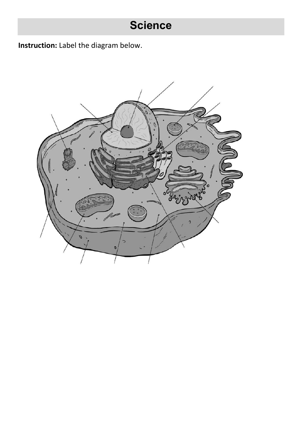# **Science**

**Instruction:** Label the diagram below.

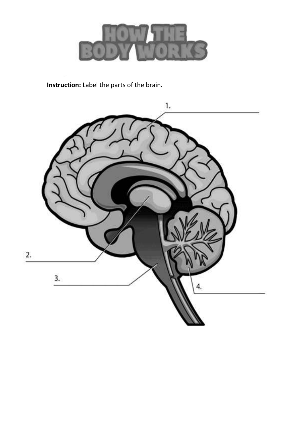

**Instruction:** Label the parts of the brain**.**

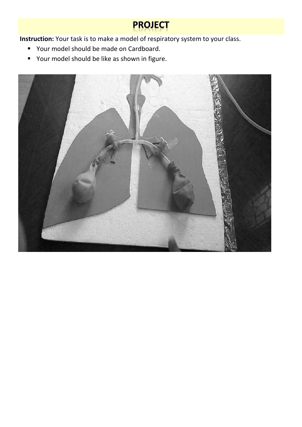# **PROJECT**

**Instruction:** Your task is to make a model of respiratory system to your class.

- **P** Your model should be made on Cardboard.
- **•** Your model should be like as shown in figure.

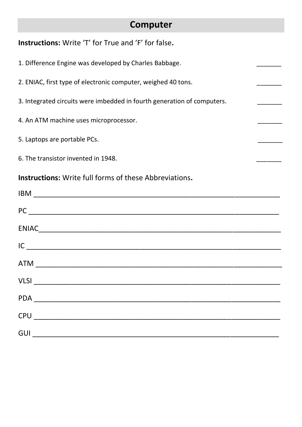## **Computer**

| <b>Instructions:</b> Write 'T' for True and 'F' for false.                                                                                                                                                                                                                                                                                                                                                      |  |
|-----------------------------------------------------------------------------------------------------------------------------------------------------------------------------------------------------------------------------------------------------------------------------------------------------------------------------------------------------------------------------------------------------------------|--|
| 1. Difference Engine was developed by Charles Babbage.                                                                                                                                                                                                                                                                                                                                                          |  |
| 2. ENIAC, first type of electronic computer, weighed 40 tons.                                                                                                                                                                                                                                                                                                                                                   |  |
| 3. Integrated circuits were imbedded in fourth generation of computers.                                                                                                                                                                                                                                                                                                                                         |  |
| 4. An ATM machine uses microprocessor.                                                                                                                                                                                                                                                                                                                                                                          |  |
| 5. Laptops are portable PCs.                                                                                                                                                                                                                                                                                                                                                                                    |  |
| 6. The transistor invented in 1948.                                                                                                                                                                                                                                                                                                                                                                             |  |
| <b>Instructions:</b> Write full forms of these Abbreviations.                                                                                                                                                                                                                                                                                                                                                   |  |
|                                                                                                                                                                                                                                                                                                                                                                                                                 |  |
|                                                                                                                                                                                                                                                                                                                                                                                                                 |  |
|                                                                                                                                                                                                                                                                                                                                                                                                                 |  |
| $IC$ $\qquad \qquad$                                                                                                                                                                                                                                                                                                                                                                                            |  |
|                                                                                                                                                                                                                                                                                                                                                                                                                 |  |
|                                                                                                                                                                                                                                                                                                                                                                                                                 |  |
|                                                                                                                                                                                                                                                                                                                                                                                                                 |  |
| $CPU \begin{tabular}{@{}c@{}} \hline \rule[1em]{1em}{1em} & \rule[1em]{1em}{1em} & \rule[1em]{1em}{1em} & \rule[1em]{1em}{1em} & \rule[1em]{1em}{1em} & \rule[1em]{1em}{1em} & \rule[1em]{1em}{1em} & \rule[1em]{1em}{1em} & \rule[1em]{1em}{1em} & \rule[1em]{1em}{1em} & \rule[1em]{1em}{1em} & \rule[1em]{1em}{1em} & \rule[1em]{1em}{1em} & \rule[1em]{1em}{1em} & \rule[1em]{1em}{1em} & \rule[1em]{1em}{$ |  |
| GUI <u>__________________________</u>                                                                                                                                                                                                                                                                                                                                                                           |  |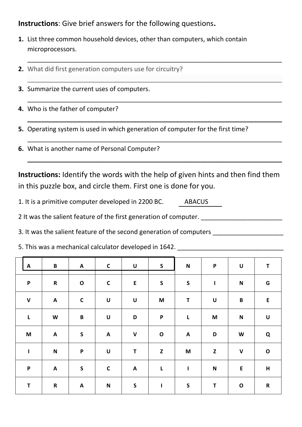**Instructions**: Give brief answers for the following questions**.**

**1.** List three common household devices, other than computers, which contain microprocessors.

\_\_\_\_\_\_\_\_\_\_\_\_\_\_\_\_\_\_\_\_\_\_\_\_\_\_\_\_\_\_\_\_\_\_\_\_\_\_\_\_\_\_\_\_\_\_\_\_\_\_\_\_\_\_\_\_\_\_\_\_\_\_\_\_\_\_\_\_\_\_\_\_

\_\_\_\_\_\_\_\_\_\_\_\_\_\_\_\_\_\_\_\_\_\_\_\_\_\_\_\_\_\_\_\_\_\_\_\_\_\_\_\_\_\_\_\_\_\_\_\_\_\_\_\_\_\_\_\_\_\_\_\_\_\_\_\_\_\_\_\_\_\_\_\_

\_\_\_\_\_\_\_\_\_\_\_\_\_\_\_\_\_\_\_\_\_\_\_\_\_\_\_\_\_\_\_\_\_\_\_\_\_\_\_\_\_\_\_\_\_\_\_\_\_\_\_\_\_\_\_\_\_\_\_\_\_\_\_\_\_\_\_\_\_\_\_\_

**\_\_\_\_\_\_\_\_\_\_\_\_\_\_\_\_\_\_\_\_\_\_\_\_\_\_\_\_\_\_\_\_\_\_\_\_\_\_\_\_\_\_\_\_\_\_\_\_\_\_\_\_\_\_\_\_\_\_\_\_\_\_\_\_\_\_\_\_\_\_\_\_**

\_\_\_\_\_\_\_\_\_\_\_\_\_\_\_\_\_\_\_\_\_\_\_\_\_\_\_\_\_\_\_\_\_\_\_\_\_\_\_\_\_\_\_\_\_\_\_\_\_\_\_\_\_\_\_\_\_\_\_\_\_\_\_\_\_\_\_\_\_\_\_\_

**\_\_\_\_\_\_\_\_\_\_\_\_\_\_\_\_\_\_\_\_\_\_\_\_\_\_\_\_\_\_\_\_\_\_\_\_\_\_\_\_\_\_\_\_\_\_\_\_\_\_\_\_\_\_\_\_\_\_\_\_\_\_\_\_\_\_\_\_\_\_\_\_**

- **2.** What did first generation computers use for circuitry?
- **3.** Summarize the current uses of computers.
- **4.** Who is the father of computer?
- **5.** Operating system is used in which generation of computer for the first time?
- **6.** What is another name of Personal Computer?

**Instructions:** Identify the words with the help of given hints and then find them in this puzzle box, and circle them. First one is done for you.

1. It is a primitive computer developed in 2200 BC. ABACUS

2 It was the salient feature of the first generation of computer.

3. It was the salient feature of the second generation of computers \_\_\_\_\_\_\_\_\_\_\_\_\_

5. This was a mechanical calculator developed in 1642.

| $\mathbf{A}$ | $\, {\bf B} \,$           | $\mathsf{A}$              | $\mathsf{C}$              | $\boldsymbol{\mathsf{U}}$ | S                                                                                     | $\mathbf N$  | $\boldsymbol{\mathsf{P}}$ | $\pmb{\pmb{\cup}}$ | T                         |
|--------------|---------------------------|---------------------------|---------------------------|---------------------------|---------------------------------------------------------------------------------------|--------------|---------------------------|--------------------|---------------------------|
| $\mathsf{P}$ | $\mathbf R$               | $\mathbf O$               | $\mathbf C$               | ${\sf E}$                 | $\mathsf S$                                                                           | $\mathsf S$  | $\mathbf{I}$              | $\mathbf N$        | G                         |
| $\mathbf v$  | $\boldsymbol{\mathsf{A}}$ | $\mathbf C$               | $\boldsymbol{\mathsf{U}}$ | $\pmb{\pmb{\pmb{\cup}}}$  | $\mathsf{M}% _{T}=\mathsf{M}_{T}\!\left( a,b\right) ,\ \mathsf{M}_{T}=\mathsf{M}_{T}$ | T            | $\pmb{\pmb{\cup}}$        | $\, {\bf B}$       | E                         |
| $\mathsf{L}$ | $\boldsymbol{\mathsf{W}}$ | $\, {\bf B}$              | $\boldsymbol{\mathsf{U}}$ | D                         | $\mathsf P$                                                                           | $\mathsf{L}$ | M                         | $\mathbf N$        | $\boldsymbol{\mathsf{U}}$ |
| M            | A                         | $\mathsf{S}$              | $\mathbf{A}$              | $\mathbf V$               | $\mathbf O$                                                                           | $\mathsf{A}$ | D                         | W                  | Q                         |
| $\mathbf{I}$ | $\mathbf N$               | $\boldsymbol{\mathsf{P}}$ | $\pmb{\pmb{\pmb{\cup}}}$  | T                         | $\mathbf{z}$                                                                          | M            | $\mathsf{z}$              | $\pmb{\mathsf{V}}$ | $\mathbf O$               |
| $\mathsf P$  | $\mathbf{A}$              | $\mathsf S$               | $\mathsf C$               | $\mathbf{A}$              | L                                                                                     | $\mathbf{I}$ | $\boldsymbol{\mathsf{N}}$ | $\mathsf E$        | H                         |
| $\mathsf T$  | $\mathbf R$               | $\mathsf{A}$              | $\boldsymbol{\mathsf{N}}$ | $\mathsf{S}$              | $\mathbf{I}$                                                                          | $\mathsf S$  | $\mathbf T$               | $\mathbf 0$        | $\mathsf{R}$              |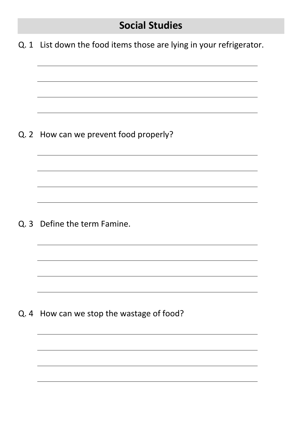## **Social Studies**

Q. 1 List down the food items those are lying in your refrigerator.

Q. 2 How can we prevent food properly?

Q. 3 Define the term Famine.

Q. 4 How can we stop the wastage of food?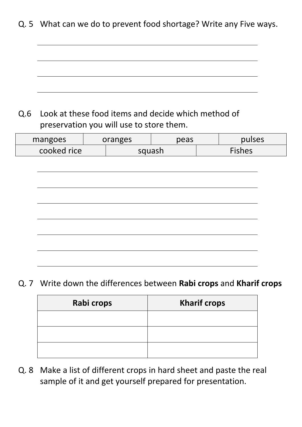Q. 5 What can we do to prevent food shortage? Write any Five ways.

### Q.6 Look at these food items and decide which method of preservation you will use to store them.

| mangoes | oranges     |  | peas   |  | pulses |  |
|---------|-------------|--|--------|--|--------|--|
|         | cooked rice |  | squash |  | Fishes |  |
|         |             |  |        |  |        |  |
|         |             |  |        |  |        |  |
|         |             |  |        |  |        |  |
|         |             |  |        |  |        |  |
|         |             |  |        |  |        |  |
|         |             |  |        |  |        |  |
|         |             |  |        |  |        |  |
|         |             |  |        |  |        |  |
|         |             |  |        |  |        |  |

Q. 7 Write down the differences between **Rabi crops** and **Kharif crops**

| Rabi crops | <b>Kharif crops</b> |
|------------|---------------------|
|            |                     |
|            |                     |
|            |                     |

Q. 8 Make a list of different crops in hard sheet and paste the real sample of it and get yourself prepared for presentation.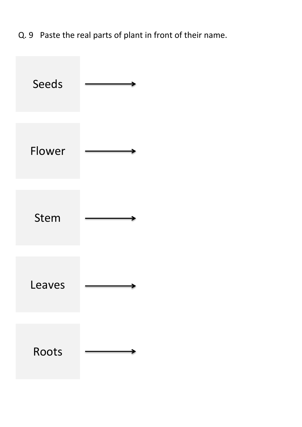Q. 9 Paste the real parts of plant in front of their name.

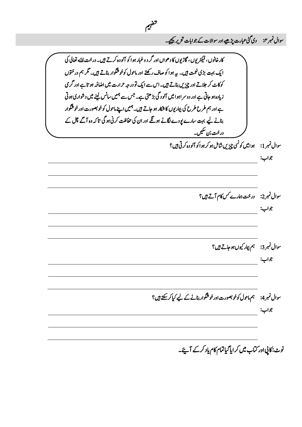سوال نمبر ٢: دی گئی عبارت پڑھیے اور سوالات کے جوابات تحریر کیجیے۔

کارخانوں ، فیکٹریوں ، گاڑیوں کا دھواں اور گر د وغبار ہوا کو آلودہ کرتے ہیں۔ درخت اہل<sup>ی</sup> تعالی کی ایک بہت بڑی نعمت ہیں۔ ہیے ہوا کو صاف رکھتے اور ماحول کوخوشگوار بناتے ہیں۔ گر ہم در ختوں کوکاٹ کر جلاتے اور چیزیں بناتے ہیں۔ اس سے ایک تو درجہ حرارت میں اضافہ ہو تاہے اور گر می زیادہ ہو جاتی ہے اور دوسر اہوا میں آلود گی بڑھتی ہے۔ جس سے ہمیں سانس لینے میں دشواری ہوتی ے اور ہم طرح طرح کی بیار یوں کا شکار ہو جاتے ہیں۔ہمیں اپنے ماحول کو خوبصورت اور خوشگوار بنانے لیے بہت سارے یودے لگانے ہوگئے اور ان کی حفاظت کرنی ہوگی تاکہ وہ آگے چل کے در خت بن سکیں۔ سوال نمبر 1: یہ وامیں کونسی چزیں شامل ہو کر ہوا کو آلو دہ کرتی ہیں؟ وجاب: سوال نمبر2: درخت ہمارے کس کام آتے ہیں؟ وجاب: سوال نمبر3: ہم بہار کیوں ہوجاتے ہیں؟ وجاب: سوال نمبر 4: ہم ماحول کوخو بصورت اور خوشگوار بنانے کے لیے کیا کر سکتے ہیں؟ وجاب:

*میہفت* 

نوٹ: کاپی اور کتاب میں کر ایا گیاتمام کام یاد کرکے آئے۔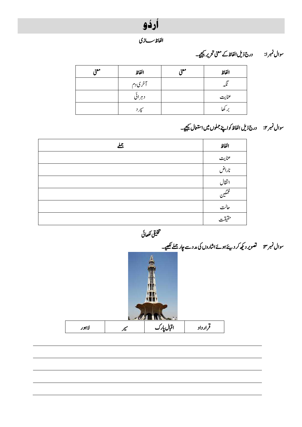

*اافلظ اسزی* 

### وسال ربمن :۱ درج ذلی اافلظ ےکینعم رحتری ےیجیک۔

| موء | الفاظ  | موء | الفاظ |
|-----|--------|-----|-------|
|     | آخرىدم |     |       |
|     | دہران  |     | عنايت |
|     |        |     | ۔ کھا |

### سوال نمبر ٢: درج ذیل الفاظ کواپنے جملوں میں استعال کیجیے۔

| 丛 | الفاظ         |
|---|---------------|
|   | عنايت         |
|   | ناراض         |
|   | انتقال        |
|   | $\mathscr{C}$ |
|   | حاكت          |
|   | حقيقت         |
|   |               |

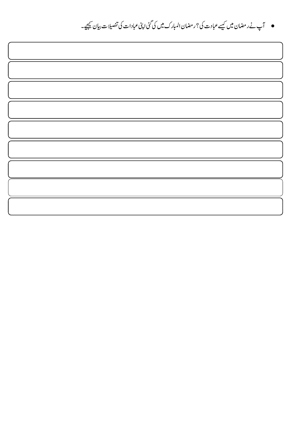● آپ نے ر مضان میں کیسے عبادت کی؟ ر مضان المبارک میں کی گئی اپنی عبادات کی تفصیلات بیان <u>کیجی</u>ے۔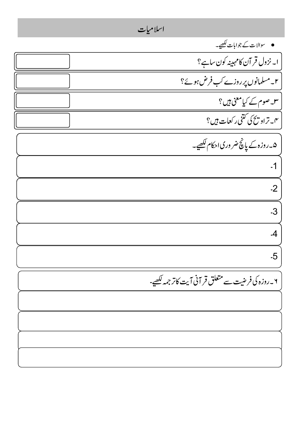اسلامیات وساالت ےک وجاابت ےیھکل۔ ۱۔ زنول رقٓان اک ہنیہم وکن اس ےہ؟ ۔<br>' ۲۔ مسلمانوں پر روزے کب فرض ہوئ<sup>؟</sup> ۳۔ وصم ےک ایک ینعم ںیہ؟ ۔<br>' ۱۳۔ تراویح کی کتنی رکعات ہیں؟ ۵۔ روزہ کے پانچ ضر وری احکام <del>لک</del>ھیے۔ 1۔ 2۔ 3۔ 4۔ 5۔ ۲۔روزہ کی فرضیت سے متعلق قر آنی آیت کاتر جمہ <u>لکھ</u>یے-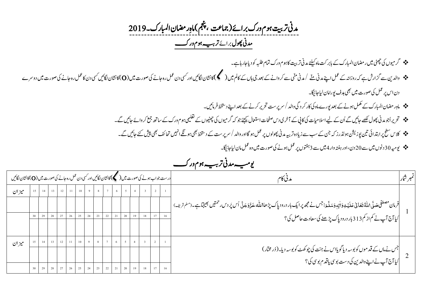دمین رتتیب وہم ورک رباےئ )امجتع ،مجنپ( امہ ِراضمن اابملرک۔9109  *دمین وھپل* رباےئ *رہیب وہم ورک ت* 

- رگویمں یک یٹھچ ںیم راضمن اابملرک ےک اب ربتک امہ ےئلیک دمین رتتیب اک وہم ورک امتم ہبلط وک دای اج راہ ےہ ۔
- وادلنی ےس زگارش ےہ ہک روزاہن ےک لمع اےنپ دمین ےّنم /دمین یّنم ےسرکواےنےک دعب یج اہں ےک اکمل ںیم) (اک اشنن اگلںیئ اور یسک دن لمع رہ اجےن یک وصرت ںیم )O)اک اشنن اگلںیئ یسک دن اک لمع رہ اجےن یک وصرت ںیم دورسے دن اس پر عمل کی صورت میں بھی ہدف یورامان لیاجائیگا۔
	- امہِراضمناابملرکےکلمکم وہےن ےک دعب وپرے امہ یک اکررکدیگ وادل/رسرپتس رحتری رکےن ےک دعب اےنپ دطختس رفامںیئ ۔
	- رحتریااوجدمینوھپلےھکلاجںیئےگاُنےکےیلاالسایمتیکاکیپےکٓارخیدساحفصتاامعتسلےئجیکوجہکرگویمںیکویٹھچںےکیمیلعتوہمورک ےک اسھت عمج رکواےئ اجںیئ ےگ ۔
		- ج<sup>و</sup> کلاس سطح پرابتدائی تین پوزیشن ہولڈرز کہ جن کے سب سے زیادہ تربیہ مدنی پھولوں پر عمل ہو ادروالد / سرپرست کے دستخط بھی پیش کتے کہ میں پیش کئے جائیں گے۔
			- ویہیم 01دونں ںیم ےس 91دن ، اور ہتفہ وار 4ںیم ےس 0وتفہں رپ لمع وہےن یک وصرت ںیم وہ لمع امن ایل اجاگیئ۔

| تمبر شار | مدنا کا '                                                                                                                                                              |  | درست جواب ہونے کی صورت میں (مسلم) کانشان لگائیں اور کسی دن عمل رہ جانے کی صورت میں (O) کانشان لگائیں |  |    |                                                      |   |  |                |                 |  |  |    |    |    |       |
|----------|------------------------------------------------------------------------------------------------------------------------------------------------------------------------|--|------------------------------------------------------------------------------------------------------|--|----|------------------------------------------------------|---|--|----------------|-----------------|--|--|----|----|----|-------|
|          |                                                                                                                                                                        |  |                                                                                                      |  |    |                                                      | 6 |  | 8 <sup>1</sup> | $11 \t 10 \t 9$ |  |  | 12 | 13 | 14 | ميزان |
|          | فرمان مصطفى حَملَى اللَّهُ تَعَانى عَلَيْهِ وَاٰنِهِ وَسَلَّـرَ: جس نے مجھ پرایک بار درود پاک پڑھا\ملّٰہ عَذَّوَجَلَّ اُس پَر دس حمتیں بھیجتاہے۔(ملم <sub>شریف</sub> ) |  |                                                                                                      |  |    |                                                      |   |  |                |                 |  |  |    |    |    |       |
|          | <br>  کیا آج آپ نے کم از کم313 بار درود پاک پڑھنے کی سعادت حاصل کی؟                                                                                                    |  |                                                                                                      |  |    | 20                                                   |   |  | 23             |                 |  |  |    |    |    |       |
|          |                                                                                                                                                                        |  |                                                                                                      |  |    |                                                      |   |  |                |                 |  |  |    |    |    |       |
|          |                                                                                                                                                                        |  |                                                                                                      |  |    |                                                      |   |  |                |                 |  |  |    |    |    | ميزان |
|          | جس نے ماں کے قد موں کو بوسہ دیا گویااس نے جنت کی چوکھٹ کو بوسہ دیا۔( دُر مِخْار )<br> <br>  کیا آج آپ نے اپنے والدین کی دست بوسی <b>یا قد</b> م بوسی کی؟               |  |                                                                                                      |  |    |                                                      |   |  |                |                 |  |  |    |    |    |       |
|          |                                                                                                                                                                        |  |                                                                                                      |  | 19 | 30   29   28   27   26   25   24   23   22   21   20 |   |  |                |                 |  |  |    |    |    |       |

*رہیب وہم ور ویہیم دمین ت ک*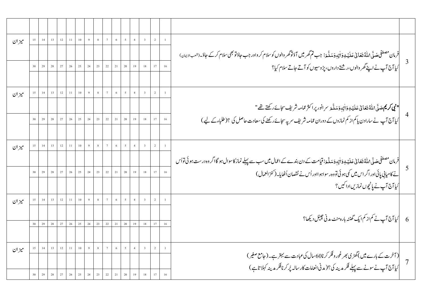| ميزان |         |    | $\begin{array}{c c c c c} \hline 14 & 13 & 12 & 11 \end{array}$   |    |               |    | $10 \quad 9$  |                | $8 \qquad 7$                                                   | $\overline{6}$ | $\overline{\phantom{0}}$ | $\overline{4}$                                  | $\overline{\mathbf{3}}$ | $\sqrt{2}$ |    |                                                                                                                                                                                         |  |
|-------|---------|----|-------------------------------------------------------------------|----|---------------|----|---------------|----------------|----------------------------------------------------------------|----------------|--------------------------|-------------------------------------------------|-------------------------|------------|----|-----------------------------------------------------------------------------------------------------------------------------------------------------------------------------------------|--|
|       |         |    |                                                                   |    |               |    |               |                |                                                                |                |                          |                                                 |                         |            |    | فرمان مصطفى صَدَّى اللَّهُ تَعَانىٰ عَلَيۡهِ وَاٰنِهٖوَ سَلَّٰۃِ: جب تم گھرمیں آؤتوگھر والوں کو سلام کر واور جب جاؤتو بھی سلام کرکے جاؤ۔(شعب <sub>اللّ</sub> ی <sub>ان</sub> )          |  |
|       |         |    |                                                                   |    |               |    |               |                |                                                                |                |                          |                                                 | $19$ $18$ $17$          |            |    | 3<br>کیا آج آپ نے اپنے گھر والوں،رشتے داروں، پڑوسیوں کو آتے جاتے سلام کیا؟                                                                                                              |  |
|       |         |    |                                                                   |    |               |    |               |                |                                                                |                |                          |                                                 |                         |            |    |                                                                                                                                                                                         |  |
| ميزان |         | 14 | 13 <sup>7</sup>                                                   |    | $12 \quad 11$ |    | $10 \qquad 9$ | 8 <sup>1</sup> | 7 <sup>7</sup>                                                 | $\overline{6}$ | 5 <sup>5</sup>           | $\sqrt{4}$                                      | $\overline{\mathbf{3}}$ |            |    |                                                                                                                                                                                         |  |
|       |         |    |                                                                   |    |               |    |               |                |                                                                |                |                          |                                                 |                         |            |    | <b>" نېي كريم <sub>حَ</sub>سَ</b> ّى ْ اللّٰهُ تَعَانىٰ عَلَيۡهِ وَاٰلِهِ وَسَلَّٰهَ سرِ انور پر اكثر ممَّامه شريف سجائے ركھتے تھ"                                                      |  |
|       |         | 29 | $28\,$                                                            | 27 | $26\,$        |    |               |                | $25$ 24 23 22 21                                               |                | $20\,$                   | 19                                              | $18\,$                  | 17         |    | <br> کیا آج آپ نے سارادن پاکم از کم نمازوں کے دوران عمامہ شریف سر پہ سجائے رکھنے کی سعادت حاصل کی ؟(طلباءکے لیے )                                                                       |  |
|       |         |    |                                                                   |    |               |    |               |                |                                                                |                |                          |                                                 |                         |            |    |                                                                                                                                                                                         |  |
| ميزان | 15      |    | $14 \qquad 13 \qquad 12 \qquad 11$                                |    |               |    |               |                | $10$ 9 8 7 6                                                   |                | 5 <sup>5</sup>           | $\overline{4}$                                  | $\overline{\mathbf{3}}$ | $\sqrt{2}$ |    |                                                                                                                                                                                         |  |
|       |         |    |                                                                   |    |               |    |               |                |                                                                |                |                          |                                                 |                         |            |    | <mark>فرمان مصطفی <sub>صَلَّی \م</sub></mark> للہُ نَتعَانی عَلَیۡیٰوَ اٰلِہٖوَسَلَّہَ : قیامت کے دن بندے کے اعمال میں سب سے پہلے نماز کاسوال ہو گااگر وہ درست ہو ئی توا <sub>ُ</sub> س |  |
|       | 30      |    | 29 28                                                             | 27 | $26\,$        | 25 | 24            |                | 23 22 21                                                       |                | $20\,$                   | 19                                              |                         | $18$ 17    | 16 | نے کامیابی پائی اور اگر اس میں کمی ہوئی تووہ رسواہو ااور اُس نے نقصان اُٹھایا۔(کنز العمال )                                                                                             |  |
|       |         |    |                                                                   |    |               |    |               |                |                                                                |                |                          |                                                 |                         |            |    | کیا آج آپ نے پانچوں نمازیںادا کیں؟                                                                                                                                                      |  |
| ميزان | $15-15$ |    | $14 \qquad 13 \qquad 12 \qquad 11$                                |    |               |    |               |                | $10 \left[ \begin{array}{c c} 9 & 8 & 7 \end{array} \right]$ 6 |                | $\overline{5}$           | $\overline{4}$                                  | $3\qquad 2$             |            |    |                                                                                                                                                                                         |  |
|       |         |    |                                                                   |    |               |    |               |                |                                                                |                |                          |                                                 |                         |            |    |                                                                                                                                                                                         |  |
|       | $30-1$  |    | 29 28                                                             |    | $27 \t 26$    |    |               |                | 25 24 23 22 21 20                                              |                |                          |                                                 | $19 \t 18 \t 17 \t 16$  |            |    | کہا آج آپ نے کم از کم ایک گھنٹہ بارہ منٹ مدنی چینل دیکھا؟<br>6                                                                                                                          |  |
|       |         |    |                                                                   |    |               |    |               |                |                                                                |                |                          |                                                 |                         |            |    |                                                                                                                                                                                         |  |
| ميزان | 15      |    | $\begin{array}{c c c c c c} \hline 14 & 13 & 12 & 11 \end{array}$ |    |               |    |               |                |                                                                |                |                          | $\left  \begin{array}{c} 4 \end{array} \right $ | $3\qquad 2$             |            |    |                                                                                                                                                                                         |  |
|       |         |    |                                                                   |    |               |    |               |                |                                                                |                |                          |                                                 |                         |            |    | (آخرت کے بارے میں )گھڑی بھر غور وفکر کرنا60سال کی عبادت سے بہتر ہے۔(جامع صغیر)<br>کیا آج آپ نے سونے سے پہلے فکر مدینہ کی؟( مدنی انعامات کار سالہ پُر کرنافکر مدینہ کہلا تاہے)           |  |
|       |         |    |                                                                   |    | 26            |    | 25 24 23      |                |                                                                | $22 \quad 21$  |                          |                                                 |                         |            |    |                                                                                                                                                                                         |  |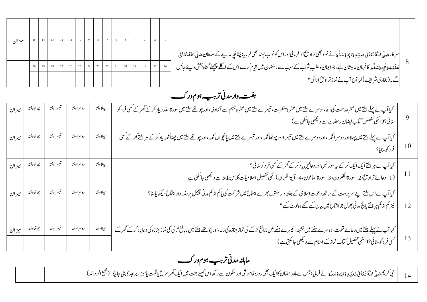| ميزان |  |  |  |  |  |  |  |                                                                                                                                                                   |  |
|-------|--|--|--|--|--|--|--|-------------------------------------------------------------------------------------------------------------------------------------------------------------------|--|
|       |  |  |  |  |  |  |  | سر کارحَیلؓ \للّٰہُ تَعَالٰی عَلَیۡ یِوَاٰلِہٖوَسَلَّہَ نے نحود بھی تراویٓانارافرمائیاوراس کوخوب پسند بھی فرمایا: چُنانچِہِ مدینے کے سلطان حَیلؓ \للّٰہُ تَعَالٰی |  |
|       |  |  |  |  |  |  |  | ۔<br> عَلَيۡۂِوَاٰنِہٖوَسَلَّۃِ کافرمانِ عالیثان ہے،جوایمان وطلب ِثواب کے سبب سے رَ مَضان میں قِیام کرے اُس کے اگلے پچھلے گناہ بخش دیئے جائیں                     |  |
|       |  |  |  |  |  |  |  | گے۔(بخاری شریف)کیا آج آپ نے نماز تراو تنح ادا کی؟                                                                                                                 |  |
|       |  |  |  |  |  |  |  |                                                                                                                                                                   |  |

#### *ترہیب وہم ورک ہتفہ ومر دمین*

|    | کیا آپ نے پہلے ہفتے میں عشرہ رحمت کی دعا،دوسرے ہفتے میں عشرہ مغفرت، تیسرے ہفتے میں سورچ الاردی،اور چوتھے ہفتے میں سورۃالقدر یاد کرکے گھر کے کسی فر د کو<br>  سنائی؟(اسکی تفصیل کتاب فیضان رمضان سے دیکھی جاسکتی ہے )                                  | پېلاہفته | دوسراهفته | تيسراهفته  | چو تھاہفتہ               | ا ميز ان |
|----|-------------------------------------------------------------------------------------------------------------------------------------------------------------------------------------------------------------------------------------------------------|----------|-----------|------------|--------------------------|----------|
| 10 | کیا آپ نے پہلے ہفتے میں پہلااور دوسر اکلمہ ،اور دوسرے ہفتے میں اور تیسرے ہفتے میں پانچواں کلمہ ،اور چوتھے ہفتے میں چھٹاکلمہ یاد کرکے ہر ہفتے گھر کے کسی<br>  فر د کوسایا؟                                                                             | پېلاہفته | دوسراهفته | تيسر اہفته | چوتھاہفتہ                | ميزان    |
|    | کیا آپ نے ہر ہفتے ایک ایک کرکے پہ سور تیں اور دعائیں یاد کر کے گھر کے کسی فر د کوسنائی؟<br>۔<br>  (1۔ دعائے تراویح،2۔سورۃالکفرون،3۔سورۃالماعون،4۔ آیۃالکرسی)اسکی تفصیل اسلامیات کلاس5th سے دیکھی جاسکتی ہے                                            | يہلاہفته | دوسراہفتہ | تيسراهفته  | چوتھاہفتہ                | ميز ان   |
| 12 | کیا آپ نے اس ہفتے اپنے سرپرست کے ساتھ دعوت اسلامی کے ہفتہ وار سنتوں بھرے اجتماع میں شر کت کی پاکم از کم مدنی چینل پر ہفتہ وار اجتماع دیکھایاسا؟<br>  نیز کم از کم ہر ہفتے پانچ مدنی پھول جو اجتماع میں بیان کیے گئے وہ نوٹ کیے ؟                      | پہلاہفتہ | دوسراهفته | تيسر اہفته | چو تھاہفتہ               | میز ان   |
|    | کیا آپ نے پہلے ہفتے میں دعائے قنوت، دوسرے ہفتے میں تشہد، تیسرے ہفتے میں نابالغے لڑے کی نمایا پانچ اپنے کو کی مختلف میں نابالغے لڑکی کی نماز جنازہ کی دعایاد کرکے گھر کے<br>  کسی فر د کوسنائی؟(اسکی تفصیل کتاب نماز کے احکام سے دیکھی جاسکتی ہے )<br> | پہلاہفتہ | دوسراهفته | تيسراهفته  | چوڭقاہفته <b>  ميزان</b> |          |

#### *رہیب وہم ورک*  ماہانہ *مدنی تربیہ ہوم*ور ک

ہ | نبی کریم صَلَّی اللَّہ َ ّ َ ِ ہ ص ل ا َ ِہو ی .<br>ا .<br>י , َ ر<br>مَتَعَانِي عَلَيۡهِ وَاٰلِهِ وَسَلَّٰهَ ֚֚ وَ مَدَّجَهِ نے فرمایا؛ جس نے ماہ رمضان کاایک بھی روزہ خاموشی اور سکون سے رکھااس کیلئے جنت میں ایک تنہ تنہ کر اس اور اس کے اس اور اس کے انبر انہ اس کے انبر انہ کا ایک انبر انہ کا انبر انہ کا انبر انہ کا انتقاء کر انہ کا ان